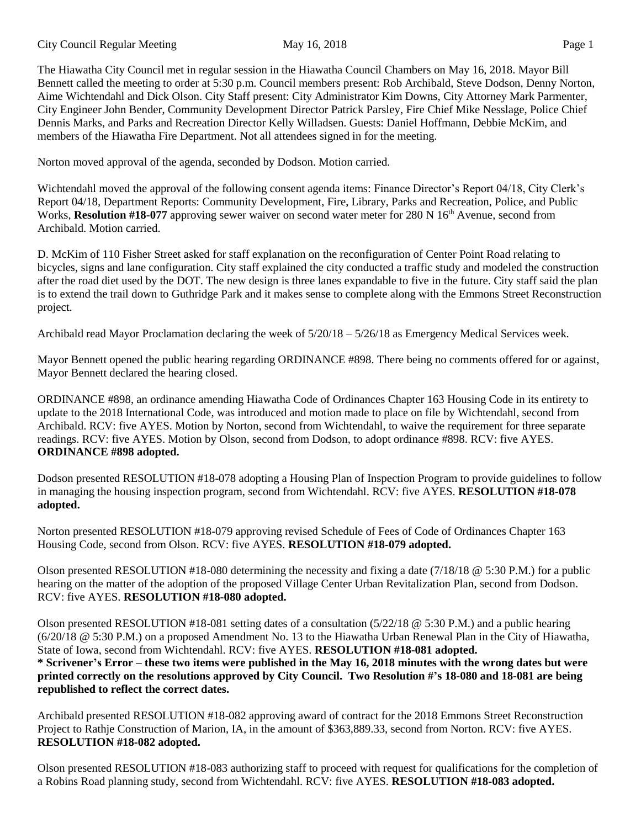City Council Regular Meeting May 16, 2018 Page 1

The Hiawatha City Council met in regular session in the Hiawatha Council Chambers on May 16, 2018. Mayor Bill Bennett called the meeting to order at 5:30 p.m. Council members present: Rob Archibald, Steve Dodson, Denny Norton, Aime Wichtendahl and Dick Olson. City Staff present: City Administrator Kim Downs, City Attorney Mark Parmenter, City Engineer John Bender, Community Development Director Patrick Parsley, Fire Chief Mike Nesslage, Police Chief Dennis Marks, and Parks and Recreation Director Kelly Willadsen. Guests: Daniel Hoffmann, Debbie McKim, and members of the Hiawatha Fire Department. Not all attendees signed in for the meeting.

Norton moved approval of the agenda, seconded by Dodson. Motion carried.

Wichtendahl moved the approval of the following consent agenda items: Finance Director's Report 04/18, City Clerk's Report 04/18, Department Reports: Community Development, Fire, Library, Parks and Recreation, Police, and Public Works, **Resolution #18-077** approving sewer waiver on second water meter for 280 N 16<sup>th</sup> Avenue, second from Archibald. Motion carried.

D. McKim of 110 Fisher Street asked for staff explanation on the reconfiguration of Center Point Road relating to bicycles, signs and lane configuration. City staff explained the city conducted a traffic study and modeled the construction after the road diet used by the DOT. The new design is three lanes expandable to five in the future. City staff said the plan is to extend the trail down to Guthridge Park and it makes sense to complete along with the Emmons Street Reconstruction project.

Archibald read Mayor Proclamation declaring the week of 5/20/18 – 5/26/18 as Emergency Medical Services week.

Mayor Bennett opened the public hearing regarding ORDINANCE #898. There being no comments offered for or against, Mayor Bennett declared the hearing closed.

ORDINANCE #898, an ordinance amending Hiawatha Code of Ordinances Chapter 163 Housing Code in its entirety to update to the 2018 International Code, was introduced and motion made to place on file by Wichtendahl, second from Archibald. RCV: five AYES. Motion by Norton, second from Wichtendahl, to waive the requirement for three separate readings. RCV: five AYES. Motion by Olson, second from Dodson, to adopt ordinance #898. RCV: five AYES. **ORDINANCE #898 adopted.**

Dodson presented RESOLUTION #18-078 adopting a Housing Plan of Inspection Program to provide guidelines to follow in managing the housing inspection program, second from Wichtendahl. RCV: five AYES. **RESOLUTION #18-078 adopted.** 

Norton presented RESOLUTION #18-079 approving revised Schedule of Fees of Code of Ordinances Chapter 163 Housing Code, second from Olson. RCV: five AYES. **RESOLUTION #18-079 adopted.** 

Olson presented RESOLUTION #18-080 determining the necessity and fixing a date  $(7/18/18 \text{ @ } 5:30 \text{ P.M.})$  for a public hearing on the matter of the adoption of the proposed Village Center Urban Revitalization Plan, second from Dodson. RCV: five AYES. **RESOLUTION #18-080 adopted.** 

Olson presented RESOLUTION #18-081 setting dates of a consultation (5/22/18 @ 5:30 P.M.) and a public hearing (6/20/18 @ 5:30 P.M.) on a proposed Amendment No. 13 to the Hiawatha Urban Renewal Plan in the City of Hiawatha, State of Iowa, second from Wichtendahl. RCV: five AYES. **RESOLUTION #18-081 adopted.**  \* Scrivener's Error – these two items were published in the May 16, 2018 minutes with the wrong dates but were **printed correctly on the resolutions approved by City Council. Two Resolution #'s 18-080 and 18-081 are being republished to reflect the correct dates.**

Archibald presented RESOLUTION #18-082 approving award of contract for the 2018 Emmons Street Reconstruction Project to Rathje Construction of Marion, IA, in the amount of \$363,889.33, second from Norton. RCV: five AYES. **RESOLUTION #18-082 adopted.** 

Olson presented RESOLUTION #18-083 authorizing staff to proceed with request for qualifications for the completion of a Robins Road planning study, second from Wichtendahl. RCV: five AYES. **RESOLUTION #18-083 adopted.**